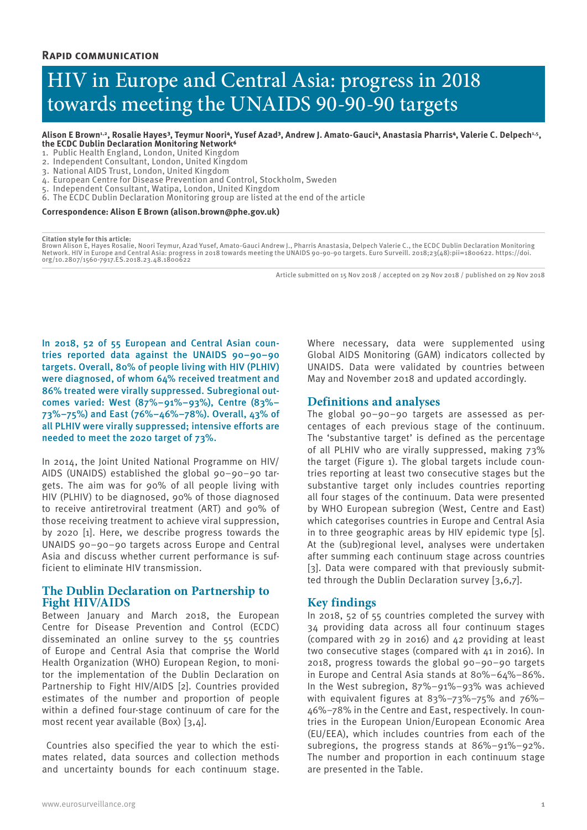# HIV in Europe and Central Asia: progress in 2018 towards meeting the UNAIDS 90-90-90 targets

Alison E Brown<sup>4,2</sup>, Rosalie Hayes<sup>3</sup>, Teymur Noori<sup>4</sup>, Yusef Azad<sup>3</sup>, Andrew J. Amato-Gauci<sup>4</sup>, Anastasia Pharris<sup>4</sup>, Valerie C. Delpech<sup>1,5</sup>, the ECDC Dublin Declaration Monitoring Network<sup>6</sup>

- 1. Public Health England, London, United Kingdom
- 2. Independent Consultant, London, United Kingdom
- 3. National AIDS Trust, London, United Kingdom
- 4. European Centre for Disease Prevention and Control, Stockholm, Sweden
- 5. Independent Consultant, Watipa, London, United Kingdom
- 6. The ECDC Dublin Declaration Monitoring group are listed at the end of the article

#### **Correspondence: Alison E Brown (alison.brown@phe.gov.uk)**

#### **Citation style for this article:**

Brown Alison E, Hayes Rosalie, Noori Teymur, Azad Yusef, Amato-Gauci Andrew J., Pharris Anastasia, Delpech Valerie C., the ECDC Dublin Declaration Monitoring<br>Network. HIV in Europe and Central Asia: progress in 2018 toward org/10.2807/1560-7917.ES.2018.23.48.1800622

Article submitted on 15 Nov 2018 / accepted on 29 Nov 2018 / published on 29 Nov 2018

In 2018, 52 of 55 European and Central Asian countries reported data against the UNAIDS 90–90–90 targets. Overall, 80% of people living with HIV (PLHIV) were diagnosed, of whom 64% received treatment and 86% treated were virally suppressed. Subregional outcomes varied: West (87%–91%–93%), Centre (83%– 73%–75%) and East (76%–46%–78%). Overall, 43% of all PLHIV were virally suppressed; intensive efforts are needed to meet the 2020 target of 73%.

In 2014, the Joint United National Programme on HIV/ AIDS (UNAIDS) established the global 90–90–90 targets. The aim was for 90% of all people living with HIV (PLHIV) to be diagnosed, 90% of those diagnosed to receive antiretroviral treatment (ART) and 90% of those receiving treatment to achieve viral suppression, by 2020 [1]. Here, we describe progress towards the UNAIDS 90–90–90 targets across Europe and Central Asia and discuss whether current performance is sufficient to eliminate HIV transmission.

# **The Dublin Declaration on Partnership to Fight HIV/AIDS**

Between January and March 2018, the European Centre for Disease Prevention and Control (ECDC) disseminated an online survey to the 55 countries of Europe and Central Asia that comprise the World Health Organization (WHO) European Region, to monitor the implementation of the Dublin Declaration on Partnership to Fight HIV/AIDS [2]. Countries provided estimates of the number and proportion of people within a defined four-stage continuum of care for the most recent year available (Box) [3,4].

 Countries also specified the year to which the estimates related, data sources and collection methods and uncertainty bounds for each continuum stage.

Where necessary, data were supplemented using Global AIDS Monitoring (GAM) indicators collected by UNAIDS. Data were validated by countries between May and November 2018 and updated accordingly.

## **Definitions and analyses**

The global 90–90–90 targets are assessed as percentages of each previous stage of the continuum. The 'substantive target' is defined as the percentage of all PLHIV who are virally suppressed, making 73% the target (Figure 1). The global targets include countries reporting at least two consecutive stages but the substantive target only includes countries reporting all four stages of the continuum. Data were presented by WHO European subregion (West, Centre and East) which categorises countries in Europe and Central Asia in to three geographic areas by HIV epidemic type [5]. At the (sub)regional level, analyses were undertaken after summing each continuum stage across countries [3]. Data were compared with that previously submitted through the Dublin Declaration survey [3,6,7].

# **Key findings**

In 2018, 52 of 55 countries completed the survey with 34 providing data across all four continuum stages (compared with 29 in 2016) and 42 providing at least two consecutive stages (compared with 41 in 2016). In 2018, progress towards the global 90–90–90 targets in Europe and Central Asia stands at 80%–64%–86%. In the West subregion, 87%–91%–93% was achieved with equivalent figures at 83%–73%–75% and 76%– 46%–78% in the Centre and East, respectively. In countries in the European Union/European Economic Area (EU/EEA), which includes countries from each of the subregions, the progress stands at 86%–91%–92%. The number and proportion in each continuum stage are presented in the Table.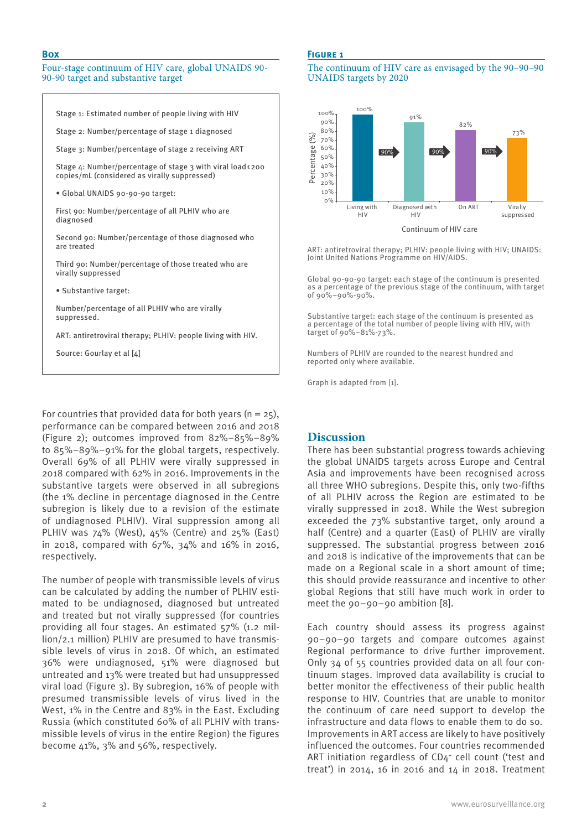## **Box**

### Four-stage continuum of HIV care, global UNAIDS 90- 90-90 target and substantive target

Stage 1: Estimated number of people living with HIV

Stage 2: Number/percentage of stage 1 diagnosed

Stage 3: Number/percentage of stage 2 receiving ART

Stage  $\mu$ : Number/percentage of stage 3 with viral load <200 copies/mL (considered as virally suppressed)

• Global UNAIDS 90-90-90 target:

First 90: Number/percentage of all PLHIV who are diagnosed

Second 90: Number/percentage of those diagnosed who are treated

Third 90: Number/percentage of those treated who are virally suppressed

• Substantive target:

Number/percentage of all PLHIV who are virally suppressed.

ART: antiretroviral therapy; PLHIV: people living with HIV.

Source: Gourlay et al [4]

For countries that provided data for both years ( $n = 25$ ), performance can be compared between 2016 and 2018 (Figure 2); outcomes improved from 82%–85%–89% to 85%–89%–91% for the global targets, respectively. Overall 69% of all PLHIV were virally suppressed in 2018 compared with 62% in 2016. Improvements in the substantive targets were observed in all subregions (the 1% decline in percentage diagnosed in the Centre subregion is likely due to a revision of the estimate of undiagnosed PLHIV). Viral suppression among all PLHIV was 74% (West), 45% (Centre) and 25% (East) in 2018, compared with 67%, 34% and 16% in 2016, respectively.

The number of people with transmissible levels of virus can be calculated by adding the number of PLHIV estimated to be undiagnosed, diagnosed but untreated and treated but not virally suppressed (for countries providing all four stages. An estimated 57% (1.2 million/2.1 million) PLHIV are presumed to have transmissible levels of virus in 2018. Of which, an estimated 36% were undiagnosed, 51% were diagnosed but untreated and 13% were treated but had unsuppressed viral load (Figure 3). By subregion, 16% of people with presumed transmissible levels of virus lived in the West, 1% in the Centre and 83% in the East. Excluding Russia (which constituted 60% of all PLHIV with transmissible levels of virus in the entire Region) the figures become 41%, 3% and 56%, respectively.

## **Figure 1**

The continuum of HIV care as envisaged by the 90–90–90 UNAIDS targets by 2020



ART: antiretroviral therapy; PLHIV: people living with HIV; UNAIDS: Joint United Nations Programme on HIV/AIDS.

Global 90-90-90 target: each stage of the continuum is presented as a percentage of the previous stage of the continuum, with target of 90%–90%-90%.

Substantive target: each stage of the continuum is presented as a percentage of the total number of people living with HIV, with target of 90%–81%-73%.

Numbers of PLHIV are rounded to the nearest hundred and reported only where available.

Graph is adapted from [1].

## **Discussion**

There has been substantial progress towards achieving the global UNAIDS targets across Europe and Central Asia and improvements have been recognised across all three WHO subregions. Despite this, only two-fifths of all PLHIV across the Region are estimated to be virally suppressed in 2018. While the West subregion exceeded the 73% substantive target, only around a half (Centre) and a quarter (East) of PLHIV are virally suppressed. The substantial progress between 2016 and 2018 is indicative of the improvements that can be made on a Regional scale in a short amount of time; this should provide reassurance and incentive to other global Regions that still have much work in order to meet the 90–90–90 ambition [8].

Each country should assess its progress against 90–90–90 targets and compare outcomes against Regional performance to drive further improvement. Only 34 of 55 countries provided data on all four continuum stages. Improved data availability is crucial to better monitor the effectiveness of their public health response to HIV. Countries that are unable to monitor the continuum of care need support to develop the infrastructure and data flows to enable them to do so. Improvements in ART access are likely to have positively influenced the outcomes. Four countries recommended ART initiation regardless of CD4<sup>+</sup> cell count ('test and treat') in 2014, 16 in 2016 and 14 in 2018. Treatment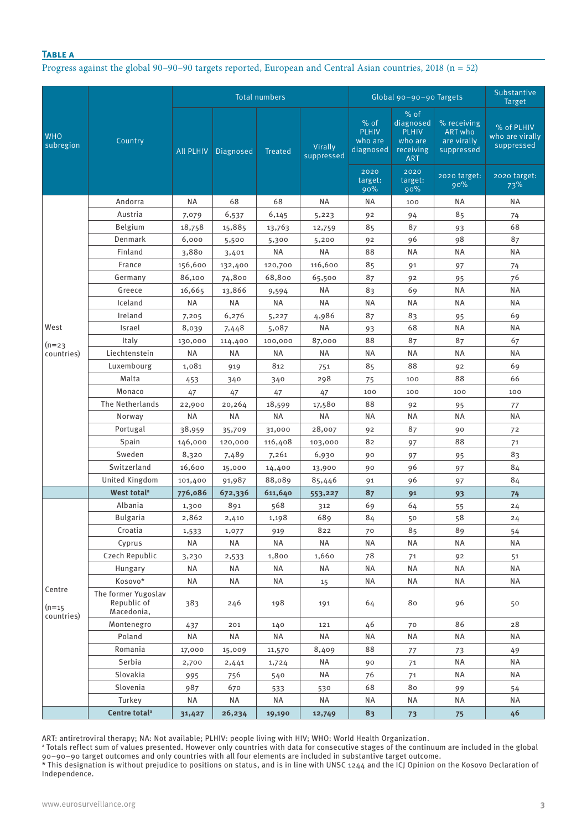## **Table a**

Progress against the global 90–90–90 targets reported, European and Central Asian countries, 2018 (n = 52)

|                         |                                                  |                  |           | <b>Total numbers</b> |                       | Global 90-90-90 Targets                              | Substantive<br><b>Target</b>                                                    |                                                                     |                                                             |
|-------------------------|--------------------------------------------------|------------------|-----------|----------------------|-----------------------|------------------------------------------------------|---------------------------------------------------------------------------------|---------------------------------------------------------------------|-------------------------------------------------------------|
| <b>WHO</b><br>subregion | Country                                          | <b>All PLHIV</b> | Diagnosed | <b>Treated</b>       | Virally<br>suppressed | % of<br><b>PLHIV</b><br>who are<br>diagnosed<br>2020 | % of<br>diagnosed<br><b>PLHIV</b><br>who are<br>receiving<br><b>ART</b><br>2020 | % receiving<br>ART who<br>are virally<br>suppressed<br>2020 target: | % of PLHIV<br>who are virally<br>suppressed<br>2020 target: |
|                         |                                                  |                  |           |                      |                       | target:<br>90%                                       | target:<br>90%                                                                  | 90%                                                                 | 73%                                                         |
|                         | Andorra                                          | ΝA               | 68        | 68                   | <b>NA</b>             | ΝA                                                   | 100                                                                             | ΝA                                                                  | ΝA                                                          |
|                         | Austria                                          | 7,079            | 6,537     | 6,145                | 5,223                 | 92                                                   | 94                                                                              | 85                                                                  | 74                                                          |
|                         | Belgium                                          | 18,758           | 15,885    | 13,763               | 12,759                | 85                                                   | 87                                                                              | 93                                                                  | 68                                                          |
|                         | Denmark                                          | 6,000            | 5,500     | 5,300                | 5,200                 | 92                                                   | 96                                                                              | 98                                                                  | 87                                                          |
|                         | Finland                                          | 3,880            | 3,401     | <b>NA</b>            | <b>NA</b>             | 88                                                   | <b>NA</b>                                                                       | <b>NA</b>                                                           | ΝA                                                          |
|                         | France                                           | 156,600          | 132,400   | 120,700              | 116,600               | 85                                                   | 91                                                                              | 97                                                                  | 74                                                          |
|                         | Germany                                          | 86,100           | 74,800    | 68,800               | 65,500                | 87                                                   | 92                                                                              | 95                                                                  | 76                                                          |
|                         | Greece                                           | 16,665           | 13,866    | 9,594                | ΝA                    | 83                                                   | 69                                                                              | <b>NA</b>                                                           | <b>NA</b>                                                   |
|                         | Iceland                                          | <b>NA</b>        | <b>NA</b> | ΝA                   | ΝA                    | <b>NA</b>                                            | ΝA                                                                              | ΝA                                                                  | <b>NA</b>                                                   |
|                         | Ireland                                          | 7,205            | 6,276     | 5,227                | 4,986                 | 87                                                   | 83                                                                              | 95                                                                  | 69                                                          |
| West                    | Israel                                           | 8,039            | 7,448     | 5,087                | <b>NA</b>             | 93                                                   | 68                                                                              | <b>NA</b>                                                           | ΝA                                                          |
| $(n=23)$                | Italy                                            | 130,000          | 114,400   | 100,000              | 87,000                | 88                                                   | 87                                                                              | 87                                                                  | 67                                                          |
| countries)              | Liechtenstein                                    | ΝA               | <b>NA</b> | ΝA                   | ΝA                    | <b>NA</b>                                            | <b>NA</b>                                                                       | <b>NA</b>                                                           | ΝA                                                          |
|                         | Luxembourg                                       | 1,081            | 919       | 812                  | 751                   | 85                                                   | 88                                                                              | 92                                                                  | 69                                                          |
|                         | Malta                                            | 453              | 340       | 340                  | 298                   | 75                                                   | 100                                                                             | 88                                                                  | 66                                                          |
|                         | Monaco                                           | 47               | 47        | 47                   | 47                    | 100                                                  | 100                                                                             | 100                                                                 | 100                                                         |
|                         | The Netherlands                                  | 22,900           | 20,264    | 18,599               | 17,580                | 88                                                   | 92                                                                              | 95                                                                  | 77                                                          |
|                         | Norway                                           | ΝA               | <b>NA</b> | <b>NA</b>            | <b>NA</b>             | <b>NA</b>                                            | ΝA                                                                              | <b>NA</b>                                                           | <b>NA</b>                                                   |
|                         | Portugal                                         | 38,959           | 35,709    | 31,000               | 28,007                | 92                                                   | 87                                                                              | 90                                                                  | 72                                                          |
|                         | Spain                                            | 146,000          | 120,000   | 116,408              | 103,000               | 82                                                   | 97                                                                              | 88                                                                  | 71                                                          |
|                         | Sweden                                           | 8,320            | 7,489     | 7,261                | 6,930                 | 90                                                   | 97                                                                              | 95                                                                  | 83                                                          |
|                         | Switzerland                                      | 16,600           | 15,000    | 14,400               | 13,900                | 90                                                   | 96                                                                              | 97                                                                  | 84                                                          |
|                         | <b>United Kingdom</b>                            | 101,400          | 91,987    | 88,089               | 85,446                | 91                                                   | 96                                                                              | 97                                                                  | 84                                                          |
|                         | West total <sup>a</sup>                          | 776,086          | 672,336   | 611,640              | 553,227               | 87                                                   | 91                                                                              | 93                                                                  | 74                                                          |
|                         | Albania                                          | 1,300            | 891       | 568                  | 312                   | 69                                                   | 64                                                                              | 55                                                                  | 24                                                          |
|                         | <b>Bulgaria</b>                                  | 2,862            | 2,410     | 1,198                | 689                   | 84                                                   | 50                                                                              | 58                                                                  | 24                                                          |
|                         | Croatia                                          | 1,533            | 1,077     | 919                  | 822                   | 70                                                   | 85                                                                              | 89                                                                  | 54                                                          |
|                         | Cyprus                                           | <b>NA</b>        | ΝA        | NA                   | <b>NA</b>             | ΝA                                                   | <b>NA</b>                                                                       | ΝA                                                                  | <b>NA</b>                                                   |
|                         | Czech Republic                                   | 3,230            | 2,533     | 1,800                | 1,660                 | 78                                                   | 71                                                                              | 92                                                                  | 51                                                          |
|                         | Hungary                                          | ΝA               | ΝA        | NA                   | <b>NA</b>             | NA                                                   | NA                                                                              | <b>NA</b>                                                           | ΝA                                                          |
| Centre                  | Kosovo*                                          | <b>NA</b>        | <b>NA</b> | NA                   | 15                    | NA                                                   | NA                                                                              | <b>NA</b>                                                           | ΝA                                                          |
| $(n=15)$<br>countries)  | The former Yugoslav<br>Republic of<br>Macedonia, | 383              | 246       | 198                  | 191                   | 64                                                   | 80                                                                              | 96                                                                  | 50                                                          |
|                         | Montenegro                                       | 437              | 201       | 140                  | 121                   | 46                                                   | 70                                                                              | 86                                                                  | 28                                                          |
|                         | Poland                                           | NA               | <b>NA</b> | NA                   | <b>NA</b>             | <b>NA</b>                                            | <b>NA</b>                                                                       | <b>NA</b>                                                           | ΝA                                                          |
|                         | Romania                                          | 17,000           | 15,009    | 11,570               | 8,409                 | 88                                                   | 77                                                                              | 73                                                                  | 49                                                          |
|                         | Serbia                                           | 2,700            | 2,441     | 1,724                | ΝA                    | 90                                                   | 71                                                                              | <b>NA</b>                                                           | <b>NA</b>                                                   |
|                         | Slovakia                                         | 995              | 756       | 540                  | NA                    | 76                                                   | 71                                                                              | <b>NA</b>                                                           | <b>NA</b>                                                   |
|                         | Slovenia                                         | 987              | 670       | 533                  | 530                   | 68                                                   | 80                                                                              | 99                                                                  | 54                                                          |
|                         | Turkey                                           | NA               | <b>NA</b> | NA                   | NA                    | <b>NA</b>                                            | NA                                                                              | <b>NA</b>                                                           | ΝA                                                          |
|                         | Centre total <sup>a</sup>                        | 31,427           | 26,234    | 19,190               | 12,749                | 83                                                   | 73                                                                              | 75                                                                  | 46                                                          |

ART: antiretroviral therapy; NA: Not available; PLHIV: people living with HIV; WHO: World Health Organization.<br>ª Totals reflect sum of values presented. However only countries with data for consecutive stages of the contin 90–90–90 target outcomes and only countries with all four elements are included in substantive target outcome.

\* This designation is without prejudice to positions on status, and is in line with UNSC 1244 and the ICJ Opinion on the Kosovo Declaration of Independence.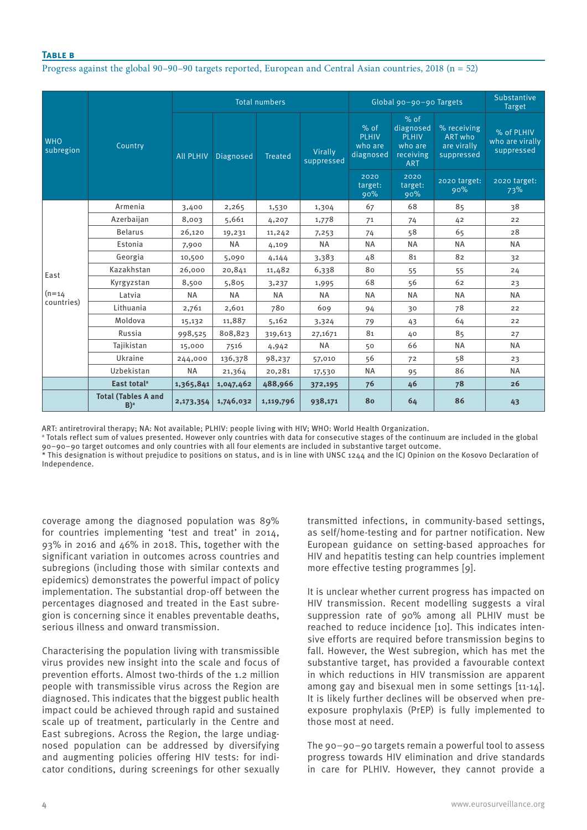# **Table b**

Progress against the global 90–90–90 targets reported, European and Central Asian countries, 2018 (n = 52)

| <b>WHO</b><br>subregion        | Country                                        | <b>Total numbers</b> |           |                |                       | Global 90-90-90 Targets                        | Substantive<br><b>Target</b>                                              |                                                     |                                             |
|--------------------------------|------------------------------------------------|----------------------|-----------|----------------|-----------------------|------------------------------------------------|---------------------------------------------------------------------------|-----------------------------------------------------|---------------------------------------------|
|                                |                                                | <b>All PLHIV</b>     | Diagnosed | <b>Treated</b> | Virally<br>suppressed | $%$ of<br><b>PLHIV</b><br>who are<br>diagnosed | $%$ of<br>diagnosed<br><b>PLHIV</b><br>who are<br>receiving<br><b>ART</b> | % receiving<br>ART who<br>are virally<br>suppressed | % of PLHIV<br>who are virally<br>suppressed |
|                                |                                                |                      |           |                |                       | 2020<br>target:<br>90%                         | 2020<br>target:<br>90%                                                    | 2020 target:<br>90%                                 | 2020 target:<br>73%                         |
| East<br>$(n=14)$<br>countries) | Armenia                                        | 3,400                | 2,265     | 1,530          | 1,304                 | 67                                             | 68                                                                        | 85                                                  | 38                                          |
|                                | Azerbaijan                                     | 8,003                | 5,661     | 4,207          | 1,778                 | 71                                             | 74                                                                        | 42                                                  | 22                                          |
|                                | <b>Belarus</b>                                 | 26,120               | 19,231    | 11,242         | 7,253                 | 74                                             | 58                                                                        | 65                                                  | 28                                          |
|                                | Estonia                                        | 7,900                | <b>NA</b> | 4,109          | <b>NA</b>             | <b>NA</b>                                      | <b>NA</b>                                                                 | <b>NA</b>                                           | <b>NA</b>                                   |
|                                | Georgia                                        | 10,500               | 5,090     | 4,144          | 3,383                 | 48                                             | 81                                                                        | 82                                                  | 32                                          |
|                                | Kazakhstan                                     | 26,000               | 20,841    | 11,482         | 6,338                 | 80                                             | 55                                                                        | 55                                                  | 24                                          |
|                                | Kyrgyzstan                                     | 8,500                | 5,805     | 3,237          | 1,995                 | 68                                             | 56                                                                        | 62                                                  | 23                                          |
|                                | Latvia                                         | <b>NA</b>            | <b>NA</b> | <b>NA</b>      | <b>NA</b>             | <b>NA</b>                                      | <b>NA</b>                                                                 | <b>NA</b>                                           | <b>NA</b>                                   |
|                                | Lithuania                                      | 2,761                | 2,601     | 780            | 609                   | 94                                             | 30                                                                        | 78                                                  | 22                                          |
|                                | Moldova                                        | 15,132               | 11,887    | 5,162          | 3,324                 | 79                                             | 43                                                                        | 64                                                  | 22                                          |
|                                | Russia                                         | 998,525              | 808,823   | 319,613        | 27,1671               | 81                                             | 40                                                                        | 85                                                  | 27                                          |
|                                | Tajikistan                                     | 15,000               | 7516      | 4,942          | <b>NA</b>             | 50                                             | 66                                                                        | <b>NA</b>                                           | <b>NA</b>                                   |
|                                | Ukraine                                        | 244,000              | 136,378   | 98,237         | 57,010                | 56                                             | 72                                                                        | 58                                                  | 23                                          |
|                                | Uzbekistan                                     | <b>NA</b>            | 21,364    | 20,281         | 17,530                | <b>NA</b>                                      | 95                                                                        | 86                                                  | <b>NA</b>                                   |
|                                | East total <sup>a</sup>                        | 1,365,841            | 1,047,462 | 488,966        | 372,195               | 76                                             | 46                                                                        | 78                                                  | 26                                          |
|                                | <b>Total (Tables A and</b><br>$B$ <sup>a</sup> | 2,173,354            | 1,746,032 | 1,119,796      | 938,171               | 80                                             | 64                                                                        | 86                                                  | 43                                          |

ART: antiretroviral therapy; NA: Not available; PLHIV: people living with HIV; WHO: World Health Organization.

a Totals reflect sum of values presented. However only countries with data for consecutive stages of the continuum are included in the global 90–90–90 target outcomes and only countries with all four elements are included in substantive target outcome.

\* This designation is without prejudice to positions on status, and is in line with UNSC 1244 and the ICJ Opinion on the Kosovo Declaration of Independence.

coverage among the diagnosed population was 89% for countries implementing 'test and treat' in 2014, 93% in 2016 and 46% in 2018. This, together with the significant variation in outcomes across countries and subregions (including those with similar contexts and epidemics) demonstrates the powerful impact of policy implementation. The substantial drop-off between the percentages diagnosed and treated in the East subregion is concerning since it enables preventable deaths, serious illness and onward transmission.

Characterising the population living with transmissible virus provides new insight into the scale and focus of prevention efforts. Almost two-thirds of the 1.2 million people with transmissible virus across the Region are diagnosed. This indicates that the biggest public health impact could be achieved through rapid and sustained scale up of treatment, particularly in the Centre and East subregions. Across the Region, the large undiagnosed population can be addressed by diversifying and augmenting policies offering HIV tests: for indicator conditions, during screenings for other sexually transmitted infections, in community-based settings, as self/home-testing and for partner notification. New European guidance on setting-based approaches for HIV and hepatitis testing can help countries implement more effective testing programmes [9].

It is unclear whether current progress has impacted on HIV transmission. Recent modelling suggests a viral suppression rate of 90% among all PLHIV must be reached to reduce incidence [10]. This indicates intensive efforts are required before transmission begins to fall. However, the West subregion, which has met the substantive target, has provided a favourable context in which reductions in HIV transmission are apparent among gay and bisexual men in some settings [11-14]. It is likely further declines will be observed when preexposure prophylaxis (PrEP) is fully implemented to those most at need.

The 90–90–90 targets remain a powerful tool to assess progress towards HIV elimination and drive standards in care for PLHIV. However, they cannot provide a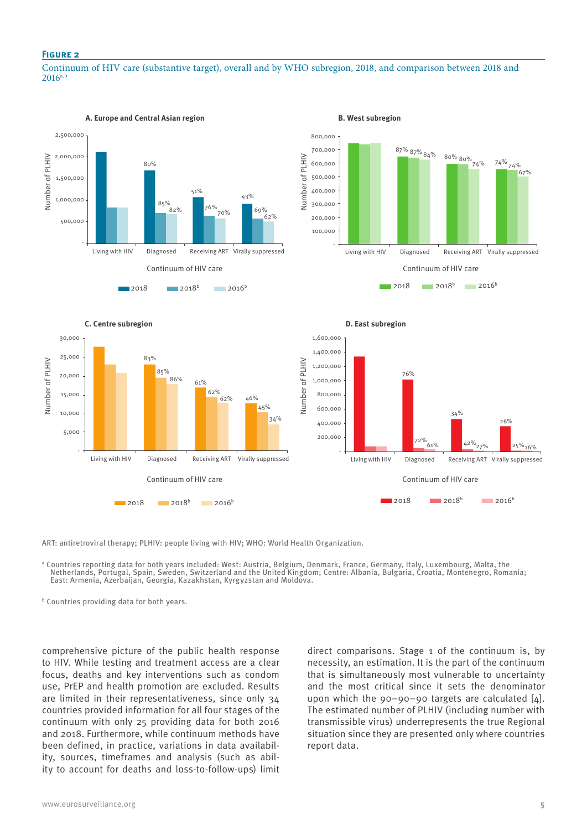#### **Figure 2**

Continuum of HIV care (substantive target), overall and by WHO subregion, 2018, and comparison between 2018 and  $2016a$ 



ART: antiretroviral therapy; PLHIV: people living with HIV; WHO: World Health Organization.

Continuum of HIV care

**2018** 2018<sup>b</sup> 2016<sup>b</sup>

Living with HIV Diagnosed Receiving ART Virally suppressed

a Countries reporting data for both years included: West: Austria, Belgium, Denmark, France, Germany, Italy, Luxembourg, Malta, the Netherlands, Portugal, Spain, Sweden, Switzerland and the United Kingdom; Centre: Albania, Bulgaria, Croatia, Montenegro, Romania; East: Armenia, Azerbaijan, Georgia, Kazakhstan, Kyrgyzstan and Moldova.

34%

 200,000 400,000

b Countries providing data for both years.

-

5,000

comprehensive picture of the public health response to HIV. While testing and treatment access are a clear focus, deaths and key interventions such as condom use, PrEP and health promotion are excluded. Results are limited in their representativeness, since only 34 countries provided information for all four stages of the continuum with only 25 providing data for both 2016 and 2018. Furthermore, while continuum methods have been defined, in practice, variations in data availability, sources, timeframes and analysis (such as ability to account for deaths and loss-to-follow-ups) limit

direct comparisons. Stage 1 of the continuum is, by necessity, an estimation. It is the part of the continuum that is simultaneously most vulnerable to uncertainty and the most critical since it sets the denominator upon which the 90–90–90 targets are calculated [4]. The estimated number of PLHIV (including number with transmissible virus) underrepresents the true Regional situation since they are presented only where countries report data.

Continuum of HIV care

Living with HIV Diagnosed Receiving ART Virally suppressed

2018 **2018** 2016<sup>b</sup> 2016<sup>b</sup>

 $\frac{72\%}{61\%}$   $\frac{42\%}{27\%}$   $\frac{25\%}{16\%}$ 

26%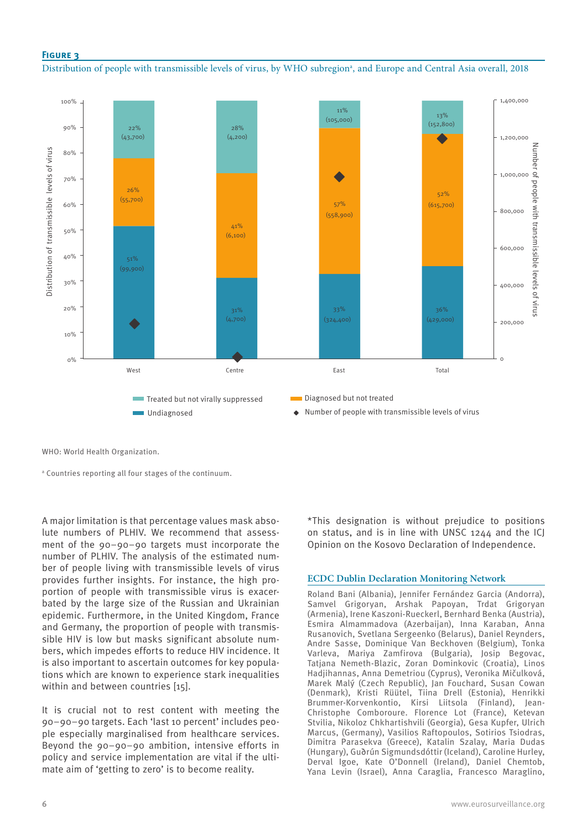## **Figure 3**

Distribution of people with transmissible levels of virus, by WHO subregion<sup>a</sup>, and Europe and Central Asia overall, 2018



WHO: World Health Organization.

a Countries reporting all four stages of the continuum.

A major limitation is that percentage values mask absolute numbers of PLHIV. We recommend that assessment of the 90–90–90 targets must incorporate the number of PLHIV. The analysis of the estimated number of people living with transmissible levels of virus provides further insights. For instance, the high proportion of people with transmissible virus is exacerbated by the large size of the Russian and Ukrainian epidemic. Furthermore, in the United Kingdom, France and Germany, the proportion of people with transmissible HIV is low but masks significant absolute numbers, which impedes efforts to reduce HIV incidence. It is also important to ascertain outcomes for key populations which are known to experience stark inequalities within and between countries [15].

It is crucial not to rest content with meeting the 90–90–90 targets. Each 'last 10 percent' includes people especially marginalised from healthcare services. Beyond the 90–90–90 ambition, intensive efforts in policy and service implementation are vital if the ultimate aim of 'getting to zero' is to become reality.

\*This designation is without prejudice to positions on status, and is in line with UNSC 1244 and the ICJ Opinion on the Kosovo Declaration of Independence.

## **ECDC Dublin Declaration Monitoring Network**

Roland Bani (Albania), Jennifer Fernández Garcia (Andorra), Samvel Grigoryan, Arshak Papoyan, Trdat Grigoryan (Armenia), Irene Kaszoni-Rueckerl, Bernhard Benka (Austria), Esmira Almammadova (Azerbaijan), Inna Karaban, Anna Rusanovich, Svetlana Sergeenko (Belarus), Daniel Reynders, Andre Sasse, Dominique Van Beckhoven (Belgium), Tonka Varleva, Mariya Zamfirova (Bulgaria), Josip Begovac, Tatjana Nemeth-Blazic, Zoran Dominkovic (Croatia), Linos Hadjihannas, Anna Demetriou (Cyprus), Veronika Mičulková, Marek Malý (Czech Republic), Jan Fouchard, Susan Cowan (Denmark), Kristi Rüütel, Tiina Drell (Estonia), Henrikki Brummer-Korvenkontio, Kirsi Liitsola (Finland), Jean-Christophe Comboroure. Florence Lot (France), Ketevan Stvilia, Nikoloz Chkhartishvili (Georgia), Gesa Kupfer, Ulrich Marcus, (Germany), Vasilios Raftopoulos, Sotirios Tsiodras, Dimitra Parasekva (Greece), Katalin Szalay, Maria Dudas (Hungary), Guðrún Sigmundsdóttir (Iceland), Caroline Hurley, Derval Igoe, Kate O'Donnell (Ireland), Daniel Chemtob, Yana Levin (Israel), Anna Caraglia, Francesco Maraglino,